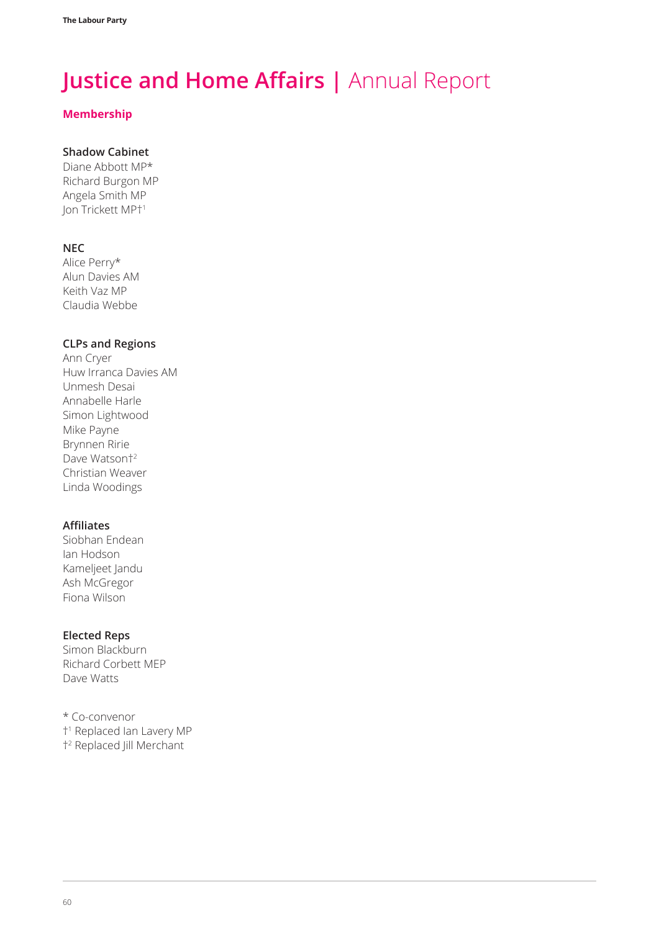#### **Membership**

### **Shadow Cabinet**

Diane Abbott MP\* Richard Burgon MP Angela Smith MP Jon Trickett MP†<sup>1</sup>

#### **NEC**

Alice Perry\* Alun Davies AM Keith Vaz MP Claudia Webbe

#### **CLPs and Regions**

Ann Cryer Huw Irranca Davies AM Unmesh Desai Annabelle Harle Simon Lightwood Mike Payne Brynnen Ririe Dave Watson<sup>+2</sup> Christian Weaver Linda Woodings

#### **Affiliates**

Siobhan Endean Ian Hodson Kameljeet Jandu Ash McGregor Fiona Wilson

#### **Elected Reps**

Simon Blackburn Richard Corbett MEP Dave Watts

\* Co-convenor †1 Replaced Ian Lavery MP †2 Replaced Jill Merchant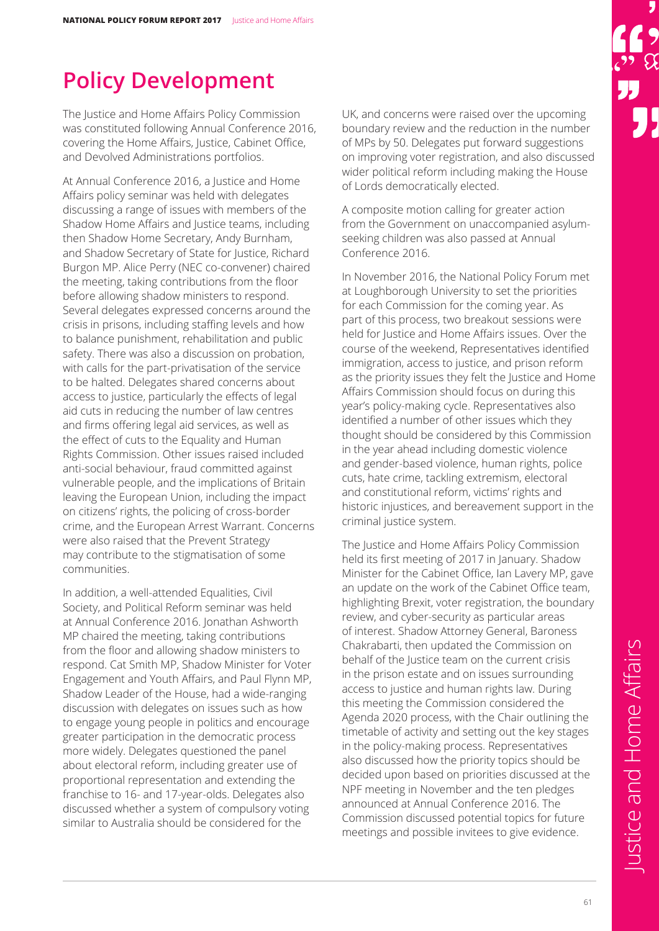### **Policy Development**

The Justice and Home Affairs Policy Commission was constituted following Annual Conference 2016, covering the Home Affairs, Justice, Cabinet Office, and Devolved Administrations portfolios.

At Annual Conference 2016, a Justice and Home Affairs policy seminar was held with delegates discussing a range of issues with members of the Shadow Home Affairs and Justice teams, including then Shadow Home Secretary, Andy Burnham, and Shadow Secretary of State for Justice, Richard Burgon MP. Alice Perry (NEC co-convener) chaired the meeting, taking contributions from the floor before allowing shadow ministers to respond. Several delegates expressed concerns around the crisis in prisons, including staffing levels and how to balance punishment, rehabilitation and public safety. There was also a discussion on probation, with calls for the part-privatisation of the service to be halted. Delegates shared concerns about access to justice, particularly the effects of legal aid cuts in reducing the number of law centres and firms offering legal aid services, as well as the effect of cuts to the Equality and Human Rights Commission. Other issues raised included anti-social behaviour, fraud committed against vulnerable people, and the implications of Britain leaving the European Union, including the impact on citizens' rights, the policing of cross-border crime, and the European Arrest Warrant. Concerns were also raised that the Prevent Strategy may contribute to the stigmatisation of some communities.

In addition, a well-attended Equalities, Civil Society, and Political Reform seminar was held at Annual Conference 2016. Jonathan Ashworth MP chaired the meeting, taking contributions from the floor and allowing shadow ministers to respond. Cat Smith MP, Shadow Minister for Voter Engagement and Youth Affairs, and Paul Flynn MP, Shadow Leader of the House, had a wide-ranging discussion with delegates on issues such as how to engage young people in politics and encourage greater participation in the democratic process more widely. Delegates questioned the panel about electoral reform, including greater use of proportional representation and extending the franchise to 16- and 17-year-olds. Delegates also discussed whether a system of compulsory voting similar to Australia should be considered for the

UK, and concerns were raised over the upcoming boundary review and the reduction in the number of MPs by 50. Delegates put forward suggestions on improving voter registration, and also discussed wider political reform including making the House of Lords democratically elected.

A composite motion calling for greater action from the Government on unaccompanied asylumseeking children was also passed at Annual Conference 2016.

In November 2016, the National Policy Forum met at Loughborough University to set the priorities for each Commission for the coming year. As part of this process, two breakout sessions were held for Justice and Home Affairs issues. Over the course of the weekend, Representatives identified immigration, access to justice, and prison reform as the priority issues they felt the Justice and Home Affairs Commission should focus on during this year's policy-making cycle. Representatives also identified a number of other issues which they thought should be considered by this Commission in the year ahead including domestic violence and gender-based violence, human rights, police cuts, hate crime, tackling extremism, electoral and constitutional reform, victims' rights and historic injustices, and bereavement support in the criminal justice system.

The Justice and Home Affairs Policy Commission held its first meeting of 2017 in January. Shadow Minister for the Cabinet Office, Ian Lavery MP, gave an update on the work of the Cabinet Office team, highlighting Brexit, voter registration, the boundary review, and cyber-security as particular areas of interest. Shadow Attorney General, Baroness Chakrabarti, then updated the Commission on behalf of the Justice team on the current crisis in the prison estate and on issues surrounding access to justice and human rights law. During this meeting the Commission considered the Agenda 2020 process, with the Chair outlining the timetable of activity and setting out the key stages in the policy-making process. Representatives also discussed how the priority topics should be decided upon based on priorities discussed at the NPF meeting in November and the ten pledges announced at Annual Conference 2016. The Commission discussed potential topics for future meetings and possible invitees to give evidence.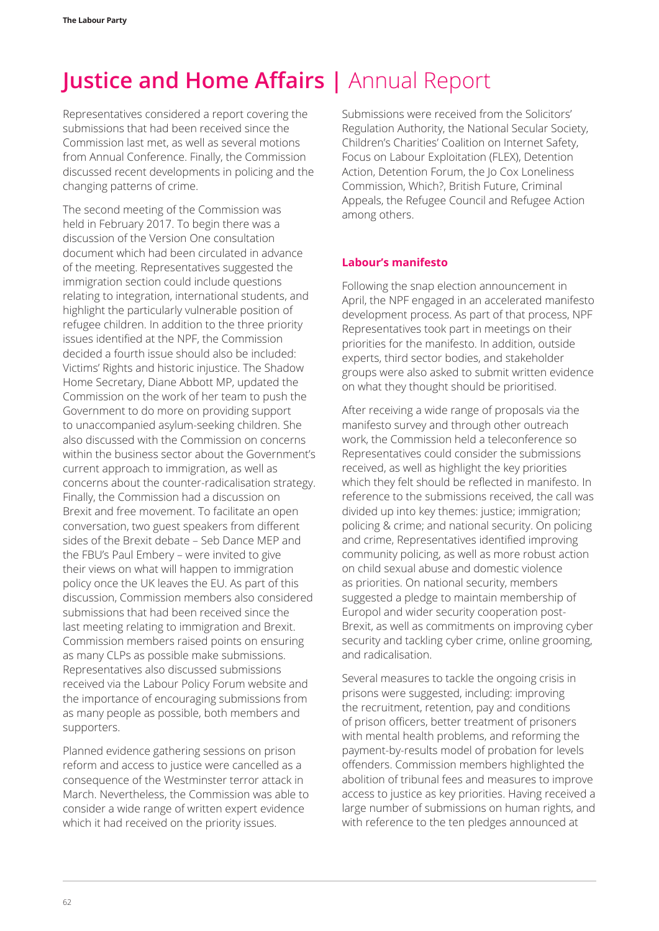Representatives considered a report covering the submissions that had been received since the Commission last met, as well as several motions from Annual Conference. Finally, the Commission discussed recent developments in policing and the changing patterns of crime.

The second meeting of the Commission was held in February 2017. To begin there was a discussion of the Version One consultation document which had been circulated in advance of the meeting. Representatives suggested the immigration section could include questions relating to integration, international students, and highlight the particularly vulnerable position of refugee children. In addition to the three priority issues identified at the NPF, the Commission decided a fourth issue should also be included: Victims' Rights and historic injustice. The Shadow Home Secretary, Diane Abbott MP, updated the Commission on the work of her team to push the Government to do more on providing support to unaccompanied asylum-seeking children. She also discussed with the Commission on concerns within the business sector about the Government's current approach to immigration, as well as concerns about the counter-radicalisation strategy. Finally, the Commission had a discussion on Brexit and free movement. To facilitate an open conversation, two guest speakers from different sides of the Brexit debate – Seb Dance MEP and the FBU's Paul Embery – were invited to give their views on what will happen to immigration policy once the UK leaves the EU. As part of this discussion, Commission members also considered submissions that had been received since the last meeting relating to immigration and Brexit. Commission members raised points on ensuring as many CLPs as possible make submissions. Representatives also discussed submissions received via the Labour Policy Forum website and the importance of encouraging submissions from as many people as possible, both members and supporters.

Planned evidence gathering sessions on prison reform and access to justice were cancelled as a consequence of the Westminster terror attack in March. Nevertheless, the Commission was able to consider a wide range of written expert evidence which it had received on the priority issues.

Submissions were received from the Solicitors' Regulation Authority, the National Secular Society, Children's Charities' Coalition on Internet Safety, Focus on Labour Exploitation (FLEX), Detention Action, Detention Forum, the Jo Cox Loneliness Commission, Which?, British Future, Criminal Appeals, the Refugee Council and Refugee Action among others.

#### **Labour's manifesto**

Following the snap election announcement in April, the NPF engaged in an accelerated manifesto development process. As part of that process, NPF Representatives took part in meetings on their priorities for the manifesto. In addition, outside experts, third sector bodies, and stakeholder groups were also asked to submit written evidence on what they thought should be prioritised.

After receiving a wide range of proposals via the manifesto survey and through other outreach work, the Commission held a teleconference so Representatives could consider the submissions received, as well as highlight the key priorities which they felt should be reflected in manifesto. In reference to the submissions received, the call was divided up into key themes: justice; immigration; policing & crime; and national security. On policing and crime, Representatives identified improving community policing, as well as more robust action on child sexual abuse and domestic violence as priorities. On national security, members suggested a pledge to maintain membership of Europol and wider security cooperation post-Brexit, as well as commitments on improving cyber security and tackling cyber crime, online grooming, and radicalisation.

Several measures to tackle the ongoing crisis in prisons were suggested, including: improving the recruitment, retention, pay and conditions of prison officers, better treatment of prisoners with mental health problems, and reforming the payment-by-results model of probation for levels offenders. Commission members highlighted the abolition of tribunal fees and measures to improve access to justice as key priorities. Having received a large number of submissions on human rights, and with reference to the ten pledges announced at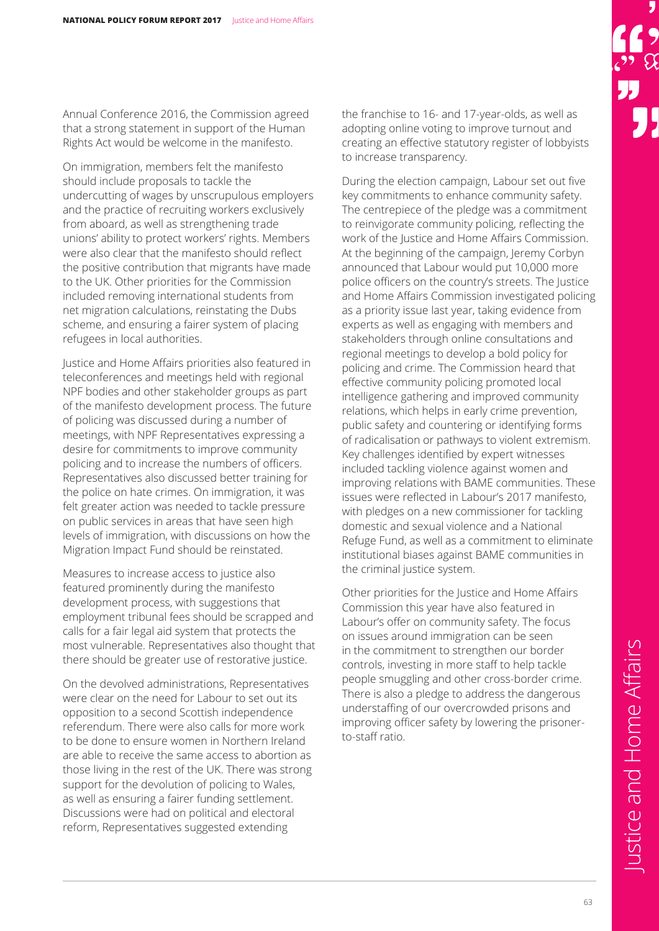Annual Conference 2016, the Commission agreed that a strong statement in support of the Human Rights Act would be welcome in the manifesto.

On immigration, members felt the manifesto should include proposals to tackle the undercutting of wages by unscrupulous employers and the practice of recruiting workers exclusively from aboard, as well as strengthening trade unions' ability to protect workers' rights. Members were also clear that the manifesto should reflect the positive contribution that migrants have made to the UK. Other priorities for the Commission included removing international students from net migration calculations, reinstating the Dubs scheme, and ensuring a fairer system of placing refugees in local authorities.

Justice and Home Affairs priorities also featured in teleconferences and meetings held with regional NPF bodies and other stakeholder groups as part of the manifesto development process. The future of policing was discussed during a number of meetings, with NPF Representatives expressing a desire for commitments to improve community policing and to increase the numbers of officers. Representatives also discussed better training for the police on hate crimes. On immigration, it was felt greater action was needed to tackle pressure on public services in areas that have seen high levels of immigration, with discussions on how the Migration Impact Fund should be reinstated.

Measures to increase access to justice also featured prominently during the manifesto development process, with suggestions that employment tribunal fees should be scrapped and calls for a fair legal aid system that protects the most vulnerable. Representatives also thought that there should be greater use of restorative justice.

On the devolved administrations, Representatives were clear on the need for Labour to set out its opposition to a second Scottish independence referendum. There were also calls for more work to be done to ensure women in Northern Ireland are able to receive the same access to abortion as those living in the rest of the UK. There was strong support for the devolution of policing to Wales, as well as ensuring a fairer funding settlement. Discussions were had on political and electoral reform, Representatives suggested extending

the franchise to 16- and 17-year-olds, as well as adopting online voting to improve turnout and creating an effective statutory register of lobbyists to increase transparency.

During the election campaign, Labour set out five key commitments to enhance community safety. The centrepiece of the pledge was a commitment to reinvigorate community policing, reflecting the work of the Justice and Home Affairs Commission. At the beginning of the campaign, Jeremy Corbyn announced that Labour would put 10,000 more police officers on the country's streets. The Justice and Home Affairs Commission investigated policing as a priority issue last year, taking evidence from experts as well as engaging with members and stakeholders through online consultations and regional meetings to develop a bold policy for policing and crime. The Commission heard that effective community policing promoted local intelligence gathering and improved community relations, which helps in early crime prevention, public safety and countering or identifying forms of radicalisation or pathways to violent extremism. Key challenges identified by expert witnesses included tackling violence against women and improving relations with BAME communities. These issues were reflected in Labour's 2017 manifesto, with pledges on a new commissioner for tackling domestic and sexual violence and a National Refuge Fund, as well as a commitment to eliminate institutional biases against BAME communities in the criminal justice system.

Other priorities for the Justice and Home Affairs Commission this year have also featured in Labour's offer on community safety. The focus on issues around immigration can be seen in the commitment to strengthen our border controls, investing in more staff to help tackle people smuggling and other cross-border crime. There is also a pledge to address the dangerous understaffing of our overcrowded prisons and improving officer safety by lowering the prisonerto-staff ratio.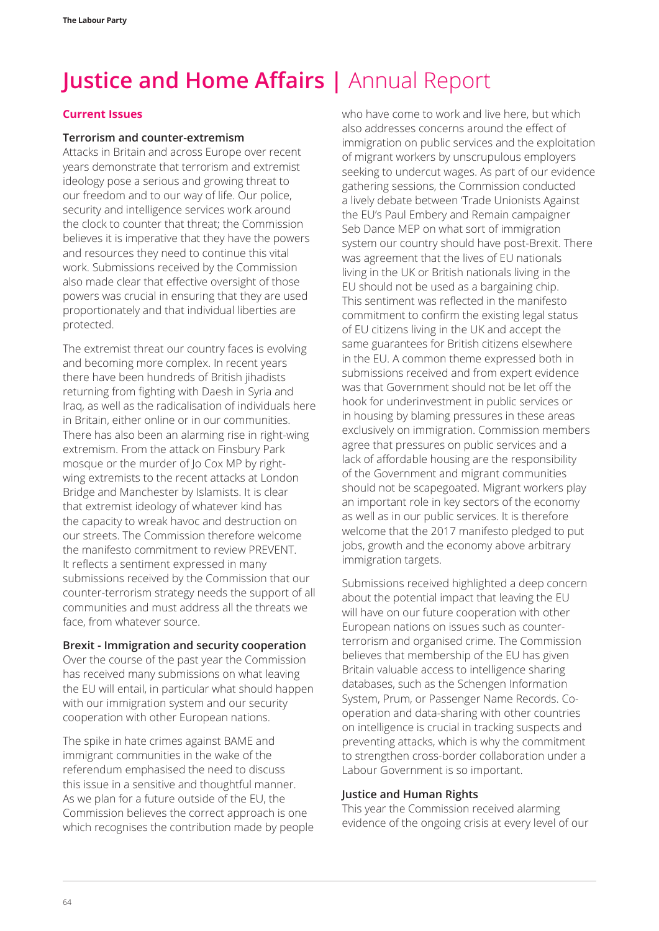#### **Current Issues**

#### **Terrorism and counter-extremism**

Attacks in Britain and across Europe over recent years demonstrate that terrorism and extremist ideology pose a serious and growing threat to our freedom and to our way of life. Our police, security and intelligence services work around the clock to counter that threat; the Commission believes it is imperative that they have the powers and resources they need to continue this vital work. Submissions received by the Commission also made clear that effective oversight of those powers was crucial in ensuring that they are used proportionately and that individual liberties are protected.

The extremist threat our country faces is evolving and becoming more complex. In recent years there have been hundreds of British jihadists returning from fighting with Daesh in Syria and Iraq, as well as the radicalisation of individuals here in Britain, either online or in our communities. There has also been an alarming rise in right-wing extremism. From the attack on Finsbury Park mosque or the murder of Jo Cox MP by rightwing extremists to the recent attacks at London Bridge and Manchester by Islamists. It is clear that extremist ideology of whatever kind has the capacity to wreak havoc and destruction on our streets. The Commission therefore welcome the manifesto commitment to review PREVENT. It reflects a sentiment expressed in many submissions received by the Commission that our counter-terrorism strategy needs the support of all communities and must address all the threats we face, from whatever source.

#### **Brexit - Immigration and security cooperation**

Over the course of the past year the Commission has received many submissions on what leaving the EU will entail, in particular what should happen with our immigration system and our security cooperation with other European nations.

The spike in hate crimes against BAME and immigrant communities in the wake of the referendum emphasised the need to discuss this issue in a sensitive and thoughtful manner. As we plan for a future outside of the EU, the Commission believes the correct approach is one which recognises the contribution made by people who have come to work and live here, but which also addresses concerns around the effect of immigration on public services and the exploitation of migrant workers by unscrupulous employers seeking to undercut wages. As part of our evidence gathering sessions, the Commission conducted a lively debate between 'Trade Unionists Against the EU's Paul Embery and Remain campaigner Seb Dance MEP on what sort of immigration system our country should have post-Brexit. There was agreement that the lives of EU nationals living in the UK or British nationals living in the EU should not be used as a bargaining chip. This sentiment was reflected in the manifesto commitment to confirm the existing legal status of EU citizens living in the UK and accept the same guarantees for British citizens elsewhere in the EU. A common theme expressed both in submissions received and from expert evidence was that Government should not be let off the hook for underinvestment in public services or in housing by blaming pressures in these areas exclusively on immigration. Commission members agree that pressures on public services and a lack of affordable housing are the responsibility of the Government and migrant communities should not be scapegoated. Migrant workers play an important role in key sectors of the economy as well as in our public services. It is therefore welcome that the 2017 manifesto pledged to put jobs, growth and the economy above arbitrary immigration targets.

Submissions received highlighted a deep concern about the potential impact that leaving the EU will have on our future cooperation with other European nations on issues such as counterterrorism and organised crime. The Commission believes that membership of the EU has given Britain valuable access to intelligence sharing databases, such as the Schengen Information System, Prum, or Passenger Name Records. Cooperation and data-sharing with other countries on intelligence is crucial in tracking suspects and preventing attacks, which is why the commitment to strengthen cross-border collaboration under a Labour Government is so important.

#### **Justice and Human Rights**

This year the Commission received alarming evidence of the ongoing crisis at every level of our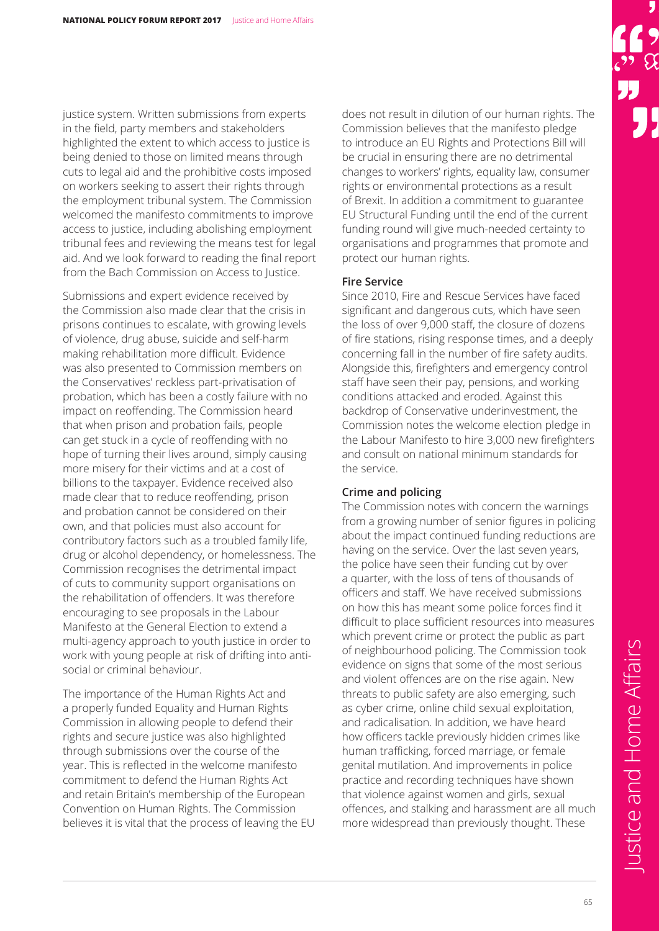justice system. Written submissions from experts in the field, party members and stakeholders highlighted the extent to which access to justice is being denied to those on limited means through cuts to legal aid and the prohibitive costs imposed on workers seeking to assert their rights through the employment tribunal system. The Commission welcomed the manifesto commitments to improve access to justice, including abolishing employment tribunal fees and reviewing the means test for legal aid. And we look forward to reading the final report from the Bach Commission on Access to Justice.

Submissions and expert evidence received by the Commission also made clear that the crisis in prisons continues to escalate, with growing levels of violence, drug abuse, suicide and self-harm making rehabilitation more difficult. Evidence was also presented to Commission members on the Conservatives' reckless part-privatisation of probation, which has been a costly failure with no impact on reoffending. The Commission heard that when prison and probation fails, people can get stuck in a cycle of reoffending with no hope of turning their lives around, simply causing more misery for their victims and at a cost of billions to the taxpayer. Evidence received also made clear that to reduce reoffending, prison and probation cannot be considered on their own, and that policies must also account for contributory factors such as a troubled family life, drug or alcohol dependency, or homelessness. The Commission recognises the detrimental impact of cuts to community support organisations on the rehabilitation of offenders. It was therefore encouraging to see proposals in the Labour Manifesto at the General Election to extend a multi-agency approach to youth justice in order to work with young people at risk of drifting into antisocial or criminal behaviour.

The importance of the Human Rights Act and a properly funded Equality and Human Rights Commission in allowing people to defend their rights and secure justice was also highlighted through submissions over the course of the year. This is reflected in the welcome manifesto commitment to defend the Human Rights Act and retain Britain's membership of the European Convention on Human Rights. The Commission believes it is vital that the process of leaving the EU

does not result in dilution of our human rights. The Commission believes that the manifesto pledge to introduce an EU Rights and Protections Bill will be crucial in ensuring there are no detrimental changes to workers' rights, equality law, consumer rights or environmental protections as a result of Brexit. In addition a commitment to guarantee EU Structural Funding until the end of the current funding round will give much-needed certainty to organisations and programmes that promote and protect our human rights.

#### **Fire Service**

Since 2010, Fire and Rescue Services have faced significant and dangerous cuts, which have seen the loss of over 9,000 staff, the closure of dozens of fire stations, rising response times, and a deeply concerning fall in the number of fire safety audits. Alongside this, firefighters and emergency control staff have seen their pay, pensions, and working conditions attacked and eroded. Against this backdrop of Conservative underinvestment, the Commission notes the welcome election pledge in the Labour Manifesto to hire 3,000 new firefighters and consult on national minimum standards for the service.

#### **Crime and policing**

The Commission notes with concern the warnings from a growing number of senior figures in policing about the impact continued funding reductions are having on the service. Over the last seven years, the police have seen their funding cut by over a quarter, with the loss of tens of thousands of officers and staff. We have received submissions on how this has meant some police forces find it difficult to place sufficient resources into measures which prevent crime or protect the public as part of neighbourhood policing. The Commission took evidence on signs that some of the most serious and violent offences are on the rise again. New threats to public safety are also emerging, such as cyber crime, online child sexual exploitation, and radicalisation. In addition, we have heard how officers tackle previously hidden crimes like human trafficking, forced marriage, or female genital mutilation. And improvements in police practice and recording techniques have shown that violence against women and girls, sexual offences, and stalking and harassment are all much more widespread than previously thought. These

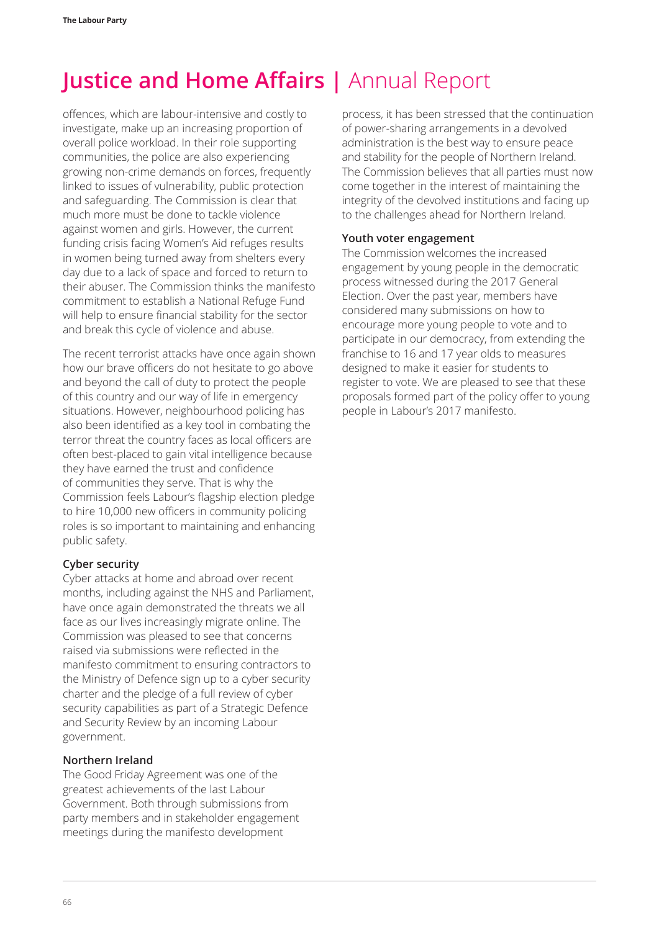offences, which are labour-intensive and costly to investigate, make up an increasing proportion of overall police workload. In their role supporting communities, the police are also experiencing growing non-crime demands on forces, frequently linked to issues of vulnerability, public protection and safeguarding. The Commission is clear that much more must be done to tackle violence against women and girls. However, the current funding crisis facing Women's Aid refuges results in women being turned away from shelters every day due to a lack of space and forced to return to their abuser. The Commission thinks the manifesto commitment to establish a National Refuge Fund will help to ensure financial stability for the sector and break this cycle of violence and abuse.

The recent terrorist attacks have once again shown how our brave officers do not hesitate to go above and beyond the call of duty to protect the people of this country and our way of life in emergency situations. However, neighbourhood policing has also been identified as a key tool in combating the terror threat the country faces as local officers are often best-placed to gain vital intelligence because they have earned the trust and confidence of communities they serve. That is why the Commission feels Labour's flagship election pledge to hire 10,000 new officers in community policing roles is so important to maintaining and enhancing public safety.

#### **Cyber security**

Cyber attacks at home and abroad over recent months, including against the NHS and Parliament, have once again demonstrated the threats we all face as our lives increasingly migrate online. The Commission was pleased to see that concerns raised via submissions were reflected in the manifesto commitment to ensuring contractors to the Ministry of Defence sign up to a cyber security charter and the pledge of a full review of cyber security capabilities as part of a Strategic Defence and Security Review by an incoming Labour government.

#### **Northern Ireland**

The Good Friday Agreement was one of the greatest achievements of the last Labour Government. Both through submissions from party members and in stakeholder engagement meetings during the manifesto development

process, it has been stressed that the continuation of power-sharing arrangements in a devolved administration is the best way to ensure peace and stability for the people of Northern Ireland. The Commission believes that all parties must now come together in the interest of maintaining the integrity of the devolved institutions and facing up to the challenges ahead for Northern Ireland.

#### **Youth voter engagement**

The Commission welcomes the increased engagement by young people in the democratic process witnessed during the 2017 General Election. Over the past year, members have considered many submissions on how to encourage more young people to vote and to participate in our democracy, from extending the franchise to 16 and 17 year olds to measures designed to make it easier for students to register to vote. We are pleased to see that these proposals formed part of the policy offer to young people in Labour's 2017 manifesto.